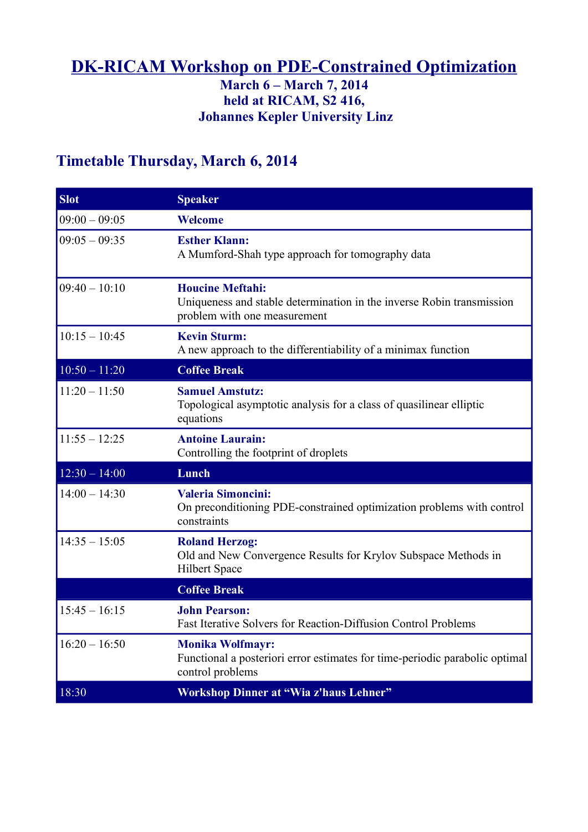### **DK-RICAM Workshop on PDE-Constrained Optimization**

### **March 6 – March 7, 2014 held at RICAM, S2 416, Johannes Kepler University Linz**

## **Timetable Thursday, March 6, 2014**

| <b>Slot</b>     | <b>Speaker</b>                                                                                                                   |
|-----------------|----------------------------------------------------------------------------------------------------------------------------------|
| $09:00 - 09:05$ | <b>Welcome</b>                                                                                                                   |
| $09:05 - 09:35$ | <b>Esther Klann:</b><br>A Mumford-Shah type approach for tomography data                                                         |
| $09:40 - 10:10$ | <b>Houcine Meftahi:</b><br>Uniqueness and stable determination in the inverse Robin transmission<br>problem with one measurement |
| $10:15 - 10:45$ | <b>Kevin Sturm:</b><br>A new approach to the differentiability of a minimax function                                             |
| $10:50 - 11:20$ | <b>Coffee Break</b>                                                                                                              |
| $11:20 - 11:50$ | <b>Samuel Amstutz:</b><br>Topological asymptotic analysis for a class of quasilinear elliptic<br>equations                       |
| $11:55 - 12:25$ | <b>Antoine Laurain:</b><br>Controlling the footprint of droplets                                                                 |
| $12:30 - 14:00$ | Lunch                                                                                                                            |
| $14:00 - 14:30$ | <b>Valeria Simoncini:</b><br>On preconditioning PDE-constrained optimization problems with control<br>constraints                |
| $14:35 - 15:05$ | <b>Roland Herzog:</b><br>Old and New Convergence Results for Krylov Subspace Methods in<br><b>Hilbert Space</b>                  |
|                 | <b>Coffee Break</b>                                                                                                              |
| $15:45 - 16:15$ | <b>John Pearson:</b><br>Fast Iterative Solvers for Reaction-Diffusion Control Problems                                           |
| $16:20 - 16:50$ | <b>Monika Wolfmayr:</b><br>Functional a posteriori error estimates for time-periodic parabolic optimal<br>control problems       |
| 18:30           | <b>Workshop Dinner at "Wia z'haus Lehner"</b>                                                                                    |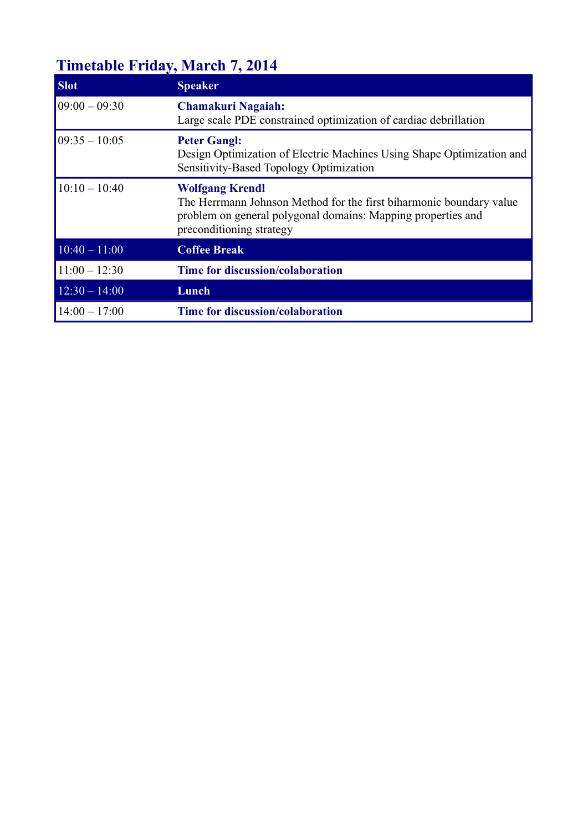# **Timetable Friday, March 7, 2014**

| <b>Slot</b>                           | <b>Speaker</b>                                                                                                                                                                            |
|---------------------------------------|-------------------------------------------------------------------------------------------------------------------------------------------------------------------------------------------|
| $09:00 - 09:30$                       | <b>Chamakuri Nagaiah:</b><br>Large scale PDE constrained optimization of cardiac debrillation                                                                                             |
| $09:35 - 10:05$                       | <b>Peter Gangl:</b><br>Design Optimization of Electric Machines Using Shape Optimization and<br>Sensitivity-Based Topology Optimization                                                   |
| $10:10 - 10:40$                       | <b>Wolfgang Krendl</b><br>The Herrmann Johnson Method for the first biharmonic boundary value<br>problem on general polygonal domains: Mapping properties and<br>preconditioning strategy |
| $\overline{10:}40 - \overline{11:}00$ | <b>Coffee Break</b>                                                                                                                                                                       |
| $11:00 - 12:30$                       | <b>Time for discussion/colaboration</b>                                                                                                                                                   |
| $12:30 - 14:00$                       | Lunch                                                                                                                                                                                     |
| $14:00 - 17:00$                       | <b>Time for discussion/colaboration</b>                                                                                                                                                   |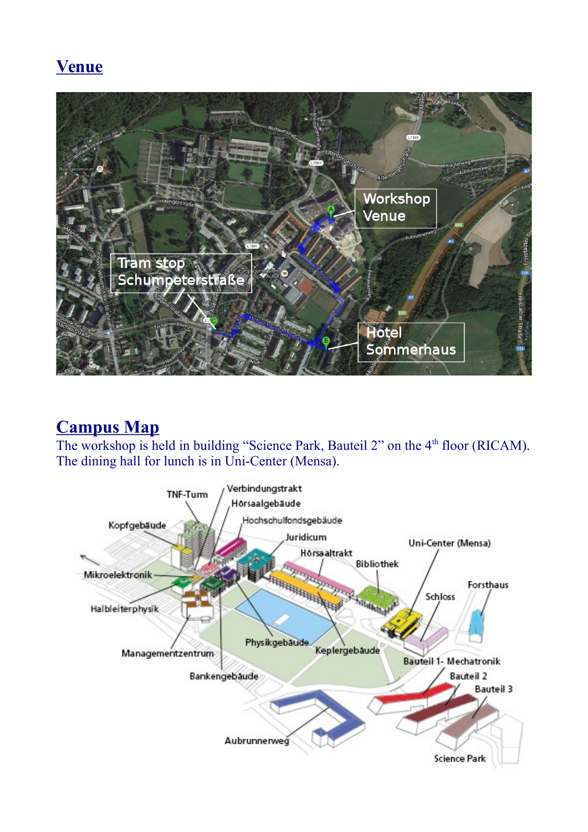## **Venue**



## **Campus Map**

The workshop is held in building "Science Park, Bauteil 2" on the 4<sup>th</sup> floor (RICAM). The dining hall for lunch is in Uni-Center (Mensa).

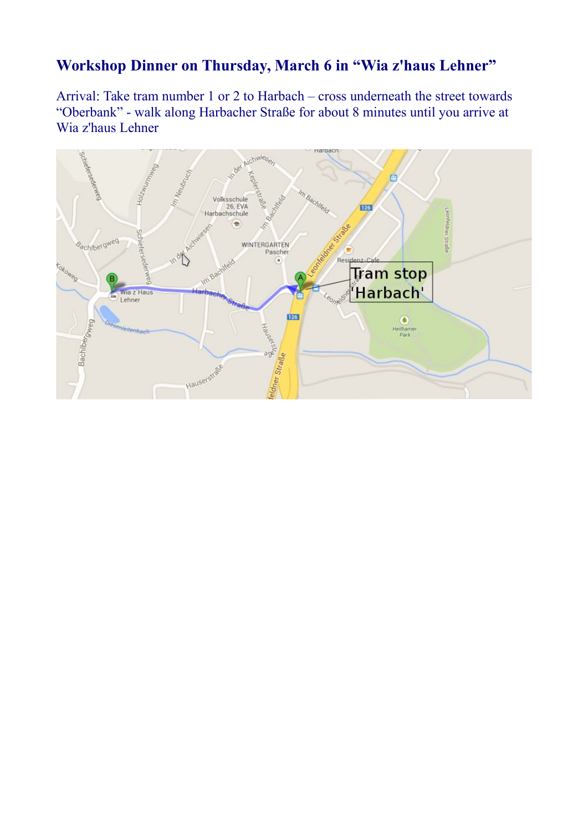### **Workshop Dinner on Thursday, March 6 in "Wia z'haus Lehner"**

Arrival: Take tram number 1 or 2 to Harbach – cross underneath the street towards "Oberbank" - walk along Harbacher Straße for about 8 minutes until you arrive at Wia z'haus Lehner

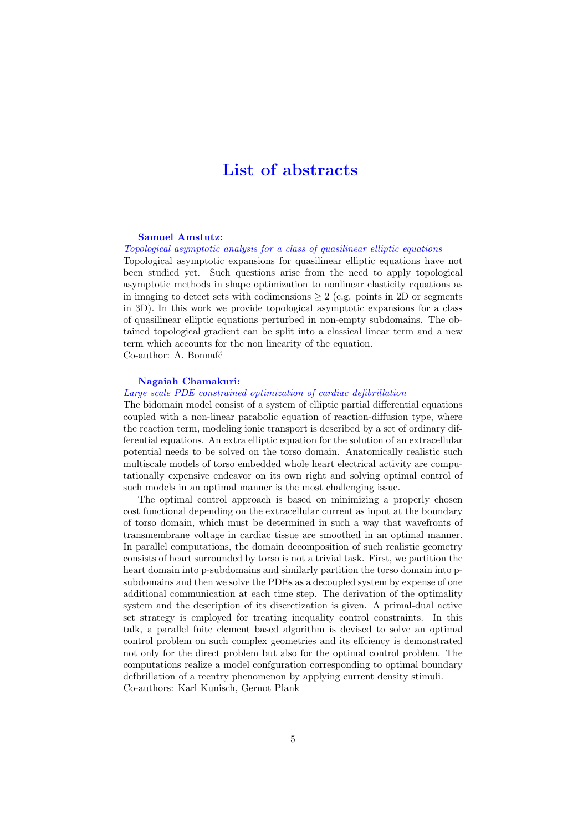### List of abstracts

#### Samuel Amstutz:

Topological asymptotic analysis for a class of quasilinear elliptic equations

Topological asymptotic expansions for quasilinear elliptic equations have not been studied yet. Such questions arise from the need to apply topological asymptotic methods in shape optimization to nonlinear elasticity equations as in imaging to detect sets with codimensions  $> 2$  (e.g. points in 2D or segments in 3D). In this work we provide topological asymptotic expansions for a class of quasilinear elliptic equations perturbed in non-empty subdomains. The obtained topological gradient can be split into a classical linear term and a new term which accounts for the non linearity of the equation. Co-author: A. Bonnafé

#### Nagaiah Chamakuri:

#### Large scale PDE constrained optimization of cardiac defibrillation

The bidomain model consist of a system of elliptic partial differential equations coupled with a non-linear parabolic equation of reaction-diffusion type, where the reaction term, modeling ionic transport is described by a set of ordinary differential equations. An extra elliptic equation for the solution of an extracellular potential needs to be solved on the torso domain. Anatomically realistic such multiscale models of torso embedded whole heart electrical activity are computationally expensive endeavor on its own right and solving optimal control of such models in an optimal manner is the most challenging issue.

The optimal control approach is based on minimizing a properly chosen cost functional depending on the extracellular current as input at the boundary of torso domain, which must be determined in such a way that wavefronts of transmembrane voltage in cardiac tissue are smoothed in an optimal manner. In parallel computations, the domain decomposition of such realistic geometry consists of heart surrounded by torso is not a trivial task. First, we partition the heart domain into p-subdomains and similarly partition the torso domain into psubdomains and then we solve the PDEs as a decoupled system by expense of one additional communication at each time step. The derivation of the optimality system and the description of its discretization is given. A primal-dual active set strategy is employed for treating inequality control constraints. In this talk, a parallel fnite element based algorithm is devised to solve an optimal control problem on such complex geometries and its effciency is demonstrated not only for the direct problem but also for the optimal control problem. The computations realize a model confguration corresponding to optimal boundary defbrillation of a reentry phenomenon by applying current density stimuli. Co-authors: Karl Kunisch, Gernot Plank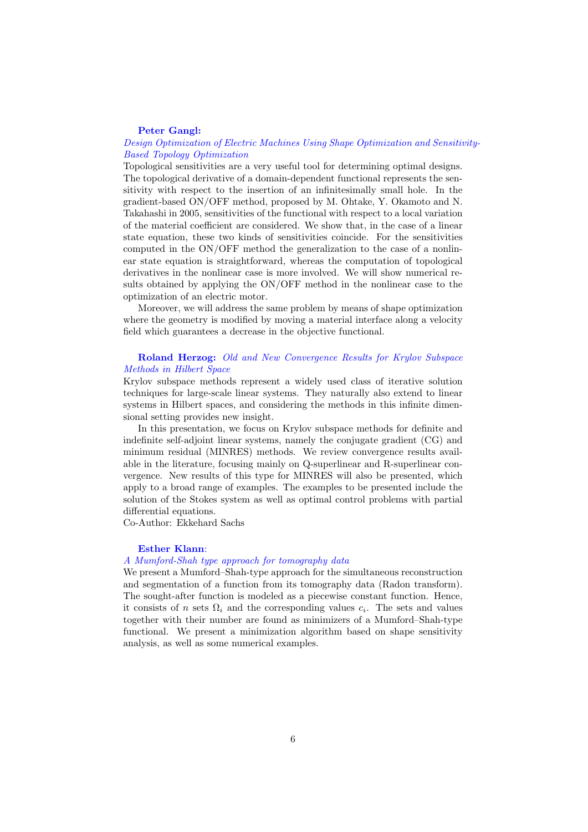#### Peter Gangl:

#### Design Optimization of Electric Machines Using Shape Optimization and Sensitivity-Based Topology Optimization

Topological sensitivities are a very useful tool for determining optimal designs. The topological derivative of a domain-dependent functional represents the sensitivity with respect to the insertion of an infinitesimally small hole. In the gradient-based ON/OFF method, proposed by M. Ohtake, Y. Okamoto and N. Takahashi in 2005, sensitivities of the functional with respect to a local variation of the material coefficient are considered. We show that, in the case of a linear state equation, these two kinds of sensitivities coincide. For the sensitivities computed in the ON/OFF method the generalization to the case of a nonlinear state equation is straightforward, whereas the computation of topological derivatives in the nonlinear case is more involved. We will show numerical results obtained by applying the ON/OFF method in the nonlinear case to the optimization of an electric motor.

Moreover, we will address the same problem by means of shape optimization where the geometry is modified by moving a material interface along a velocity field which guarantees a decrease in the objective functional.

#### Roland Herzog: Old and New Convergence Results for Krylov Subspace Methods in Hilbert Space

Krylov subspace methods represent a widely used class of iterative solution techniques for large-scale linear systems. They naturally also extend to linear systems in Hilbert spaces, and considering the methods in this infinite dimensional setting provides new insight.

In this presentation, we focus on Krylov subspace methods for definite and indefinite self-adjoint linear systems, namely the conjugate gradient (CG) and minimum residual (MINRES) methods. We review convergence results available in the literature, focusing mainly on Q-superlinear and R-superlinear convergence. New results of this type for MINRES will also be presented, which apply to a broad range of examples. The examples to be presented include the solution of the Stokes system as well as optimal control problems with partial differential equations.

Co-Author: Ekkehard Sachs

#### Esther Klann:

#### A Mumford-Shah type approach for tomography data

We present a Mumford–Shah-type approach for the simultaneous reconstruction and segmentation of a function from its tomography data (Radon transform). The sought-after function is modeled as a piecewise constant function. Hence, it consists of n sets  $\Omega_i$  and the corresponding values  $c_i$ . The sets and values together with their number are found as minimizers of a Mumford–Shah-type functional. We present a minimization algorithm based on shape sensitivity analysis, as well as some numerical examples.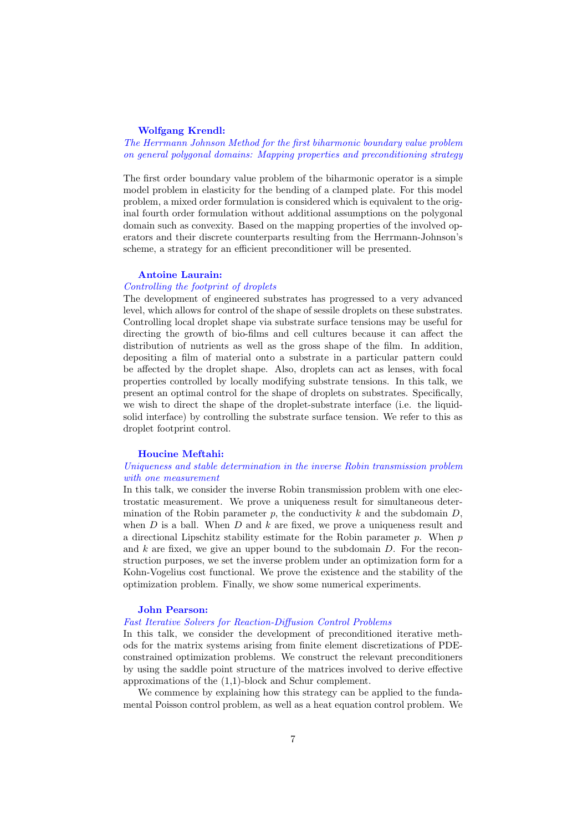#### Wolfgang Krendl:

The Herrmann Johnson Method for the first biharmonic boundary value problem on general polygonal domains: Mapping properties and preconditioning strategy

The first order boundary value problem of the biharmonic operator is a simple model problem in elasticity for the bending of a clamped plate. For this model problem, a mixed order formulation is considered which is equivalent to the original fourth order formulation without additional assumptions on the polygonal domain such as convexity. Based on the mapping properties of the involved operators and their discrete counterparts resulting from the Herrmann-Johnson's scheme, a strategy for an efficient preconditioner will be presented.

#### Antoine Laurain:

#### Controlling the footprint of droplets

The development of engineered substrates has progressed to a very advanced level, which allows for control of the shape of sessile droplets on these substrates. Controlling local droplet shape via substrate surface tensions may be useful for directing the growth of bio-films and cell cultures because it can affect the distribution of nutrients as well as the gross shape of the film. In addition, depositing a film of material onto a substrate in a particular pattern could be affected by the droplet shape. Also, droplets can act as lenses, with focal properties controlled by locally modifying substrate tensions. In this talk, we present an optimal control for the shape of droplets on substrates. Specifically, we wish to direct the shape of the droplet-substrate interface (i.e. the liquidsolid interface) by controlling the substrate surface tension. We refer to this as droplet footprint control.

#### Houcine Meftahi:

#### Uniqueness and stable determination in the inverse Robin transmission problem with one measurement

In this talk, we consider the inverse Robin transmission problem with one electrostatic measurement. We prove a uniqueness result for simultaneous determination of the Robin parameter p, the conductivity  $k$  and the subdomain  $D$ , when  $D$  is a ball. When  $D$  and  $k$  are fixed, we prove a uniqueness result and a directional Lipschitz stability estimate for the Robin parameter  $p$ . When  $p$ and  $k$  are fixed, we give an upper bound to the subdomain  $D$ . For the reconstruction purposes, we set the inverse problem under an optimization form for a Kohn-Vogelius cost functional. We prove the existence and the stability of the optimization problem. Finally, we show some numerical experiments.

#### John Pearson:

#### Fast Iterative Solvers for Reaction-Diffusion Control Problems

In this talk, we consider the development of preconditioned iterative methods for the matrix systems arising from finite element discretizations of PDEconstrained optimization problems. We construct the relevant preconditioners by using the saddle point structure of the matrices involved to derive effective approximations of the (1,1)-block and Schur complement.

We commence by explaining how this strategy can be applied to the fundamental Poisson control problem, as well as a heat equation control problem. We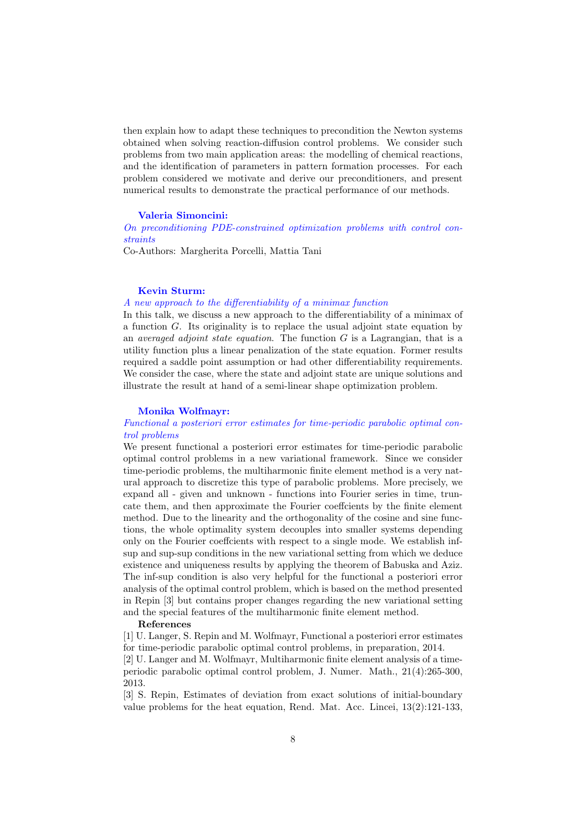then explain how to adapt these techniques to precondition the Newton systems obtained when solving reaction-diffusion control problems. We consider such problems from two main application areas: the modelling of chemical reactions, and the identification of parameters in pattern formation processes. For each problem considered we motivate and derive our preconditioners, and present numerical results to demonstrate the practical performance of our methods.

#### Valeria Simoncini:

On preconditioning PDE-constrained optimization problems with control constraints

Co-Authors: Margherita Porcelli, Mattia Tani

#### Kevin Sturm:

#### A new approach to the differentiability of a minimax function

In this talk, we discuss a new approach to the differentiability of a minimax of a function G. Its originality is to replace the usual adjoint state equation by an *averaged adjoint state equation*. The function  $G$  is a Lagrangian, that is a utility function plus a linear penalization of the state equation. Former results required a saddle point assumption or had other differentiability requirements. We consider the case, where the state and adjoint state are unique solutions and illustrate the result at hand of a semi-linear shape optimization problem.

#### Monika Wolfmayr:

#### Functional a posteriori error estimates for time-periodic parabolic optimal control problems

We present functional a posteriori error estimates for time-periodic parabolic optimal control problems in a new variational framework. Since we consider time-periodic problems, the multiharmonic finite element method is a very natural approach to discretize this type of parabolic problems. More precisely, we expand all - given and unknown - functions into Fourier series in time, truncate them, and then approximate the Fourier coeffcients by the finite element method. Due to the linearity and the orthogonality of the cosine and sine functions, the whole optimality system decouples into smaller systems depending only on the Fourier coeffcients with respect to a single mode. We establish infsup and sup-sup conditions in the new variational setting from which we deduce existence and uniqueness results by applying the theorem of Babuska and Aziz. The inf-sup condition is also very helpful for the functional a posteriori error analysis of the optimal control problem, which is based on the method presented in Repin [3] but contains proper changes regarding the new variational setting and the special features of the multiharmonic finite element method.

#### References

[1] U. Langer, S. Repin and M. Wolfmayr, Functional a posteriori error estimates for time-periodic parabolic optimal control problems, in preparation, 2014.

[2] U. Langer and M. Wolfmayr, Multiharmonic finite element analysis of a timeperiodic parabolic optimal control problem, J. Numer. Math., 21(4):265-300, 2013.

[3] S. Repin, Estimates of deviation from exact solutions of initial-boundary value problems for the heat equation, Rend. Mat. Acc. Lincei,  $13(2):121-133$ ,